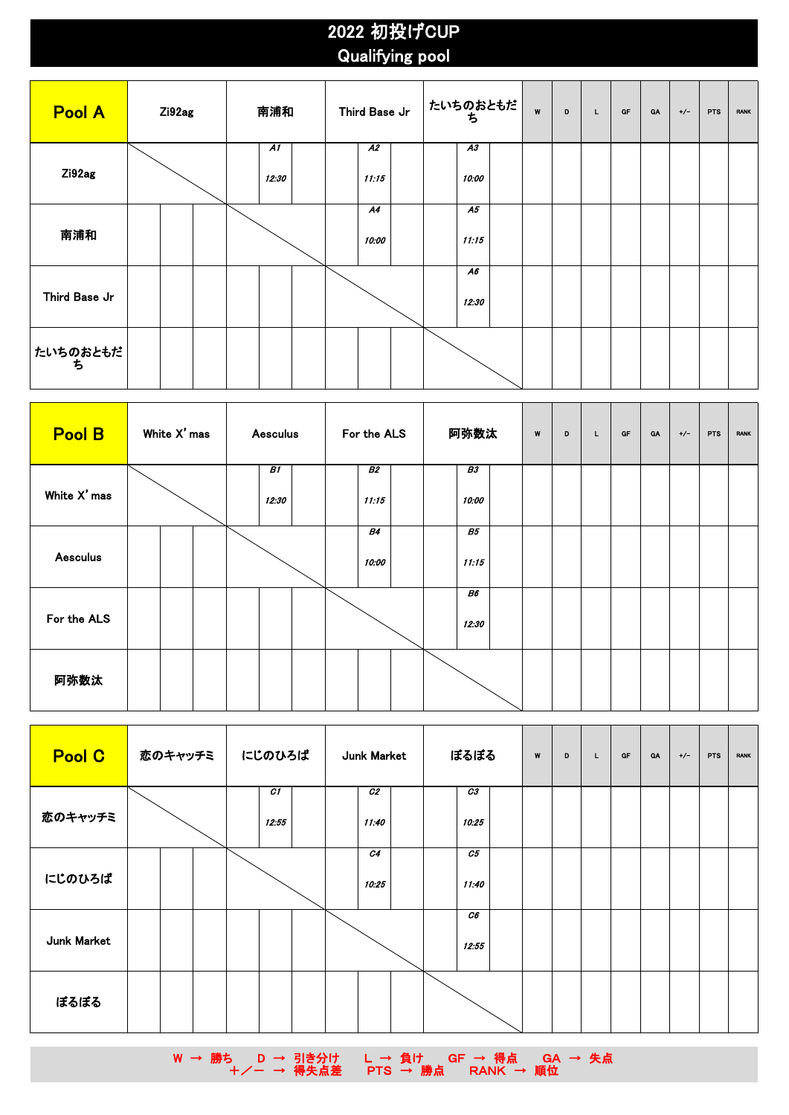## 2022 初投げCUP Qualifying pool

| <b>Pool A</b>   | Zi92ag |  | 南浦和                      |  | Third Base Jr            |  | たいちのおともだ<br>ち            | W | D | L | $G\Gamma$ | <b>GA</b> | $+/-$ | PTS | <b>RANK</b> |
|-----------------|--------|--|--------------------------|--|--------------------------|--|--------------------------|---|---|---|-----------|-----------|-------|-----|-------------|
| Zi92ag          |        |  | $\overline{AI}$<br>12:30 |  | $\overline{A2}$<br>11:15 |  | $\overline{A3}$<br>10:00 |   |   |   |           |           |       |     |             |
| 南浦和             |        |  |                          |  | A4<br>10:00              |  | A5<br>11:15              |   |   |   |           |           |       |     |             |
| Third Base Jr   |        |  |                          |  |                          |  | A6<br>12:30              |   |   |   |           |           |       |     |             |
| たいちのおともだ <br> ち |        |  |                          |  |                          |  |                          |   |   |   |           |           |       |     |             |

| <b>Pool B</b>   | White X' mas | <b>Aesculus</b> | For the ALS        | 阿弥数汰               | W | D | L | GF | <b>GA</b> | $+/-$ | PTS | <b>RANK</b> |
|-----------------|--------------|-----------------|--------------------|--------------------|---|---|---|----|-----------|-------|-----|-------------|
| White X' mas    |              | B1<br>12:30     | B2<br>11:15        | B3<br>10:00        |   |   |   |    |           |       |     |             |
| <b>Aesculus</b> |              |                 | <b>B4</b><br>10:00 | <b>B5</b><br>11:15 |   |   |   |    |           |       |     |             |
| For the ALS     |              |                 |                    | B6<br>12:30        |   |   |   |    |           |       |     |             |
| 阿弥数汰            |              |                 |                    |                    |   |   |   |    |           |       |     |             |

| Pool C      | 恋のキャッチミ | にじのひろば                  | Junk Market             | ぼるぼる                    | W | D<br>L | GF | <b>GA</b> | $+/-$ | <b>PTS</b> | <b>RANK</b> |
|-------------|---------|-------------------------|-------------------------|-------------------------|---|--------|----|-----------|-------|------------|-------------|
| 恋のキャッチミ     |         | $\overline{c}$<br>12:55 | C <sub>2</sub><br>11:40 | C3<br>10:25             |   |        |    |           |       |            |             |
| にじのひろば      |         |                         | C4<br>10:25             | $\overline{c}$<br>11:40 |   |        |    |           |       |            |             |
| Junk Market |         |                         |                         | C6<br>12:55             |   |        |    |           |       |            |             |
| ぼるぼる        |         |                         |                         |                         |   |        |    |           |       |            |             |

W → 勝ち D → 引き分け L → 負け GF → 得点 GA → 失点 **+/− → 得失点差 PTS → 勝点 RANK → 順位**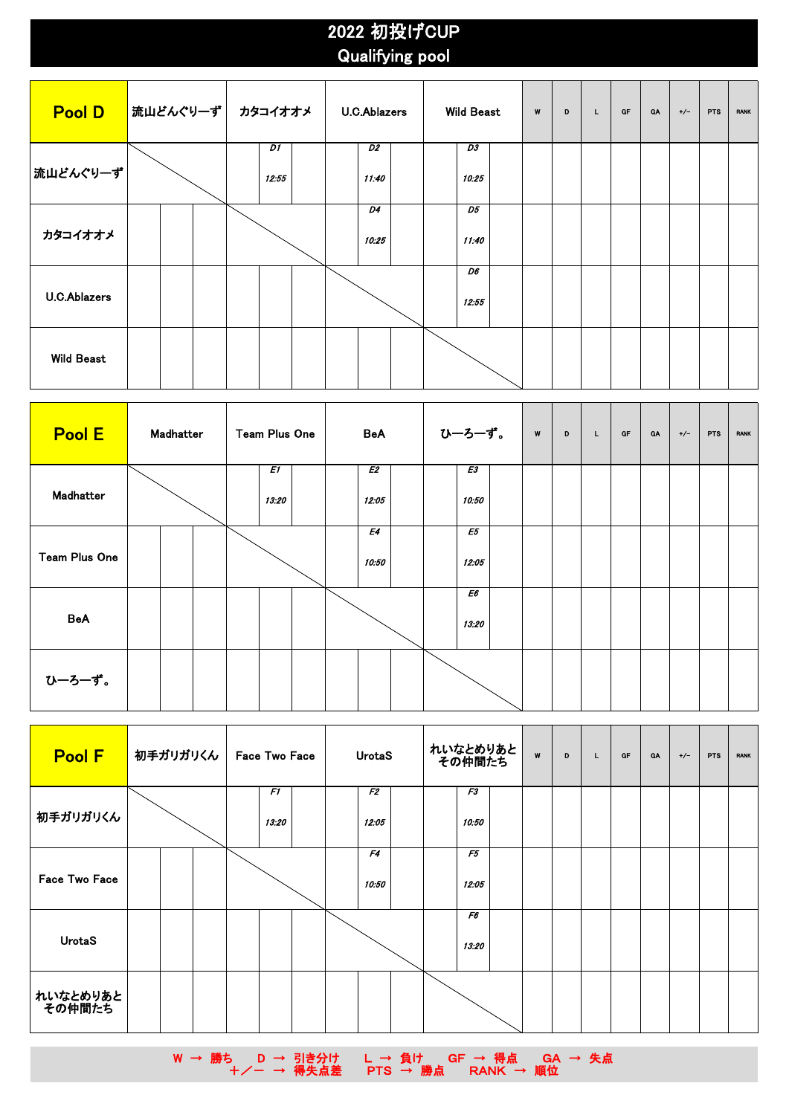## 2022 初投げCUP Qualifying pool

| <b>Pool D</b>       | 流山どんぐりーず | カタコイオオメ     | <b>U.C.Ablazers</b>      | <b>Wild Beast</b>        | W | D | L | GF | GA | $+/-$ | <b>PTS</b> | <b>RANK</b> |
|---------------------|----------|-------------|--------------------------|--------------------------|---|---|---|----|----|-------|------------|-------------|
| 流山どんぐりーず            |          | D1<br>12:55 | $\overline{D2}$<br>11:40 | $\overline{D3}$<br>10:25 |   |   |   |    |    |       |            |             |
| カタコイオオメ             |          |             | D4<br>10:25              | D5<br>11:40              |   |   |   |    |    |       |            |             |
| <b>U.C.Ablazers</b> |          |             |                          | D6<br>12:55              |   |   |   |    |    |       |            |             |
| <b>Wild Beast</b>   |          |             |                          |                          |   |   |   |    |    |       |            |             |

| Pool E               | Madhatter | Team Plus One | BeA         | ひーろーず。      | W<br>D | GF<br>L | <b>GA</b> | $+/-$<br>PTS<br><b>RANK</b> |
|----------------------|-----------|---------------|-------------|-------------|--------|---------|-----------|-----------------------------|
| Madhatter            |           | E1<br>13:20   | E2<br>12:05 | E3<br>10:50 |        |         |           |                             |
| <b>Team Plus One</b> |           |               | E4<br>10:50 | E5<br>12:05 |        |         |           |                             |
| <b>BeA</b>           |           |               |             | E6<br>13:20 |        |         |           |                             |
| ひーろーず。               |           |               |             |             |        |         |           |                             |

| Pool F             | <mark> </mark> 初手ガリガリくん | <b>Face Two Face</b> | UrotaS                  | れいなとめりあと<br>その仲間たち | W | D | L | GF | <b>GA</b> | $+/-$ | <b>PTS</b> | <b>RANK</b> |
|--------------------|-------------------------|----------------------|-------------------------|--------------------|---|---|---|----|-----------|-------|------------|-------------|
| 初手ガリガリくん           |                         | F1<br>13:20          | F <sub>2</sub><br>12:05 | F3<br>10:50        |   |   |   |    |           |       |            |             |
| Face Two Face      |                         |                      | F4<br>10:50             | F5<br>12:05        |   |   |   |    |           |       |            |             |
| <b>UrotaS</b>      |                         |                      |                         | F6<br>13:20        |   |   |   |    |           |       |            |             |
| れいなとめりあと<br>その仲間たち |                         |                      |                         |                    |   |   |   |    |           |       |            |             |

W → 勝ち D → 引き分け L → 負け GF → 得点 GA → 失点 **+/− → 得失点差 PTS → 勝点 RANK → 順位**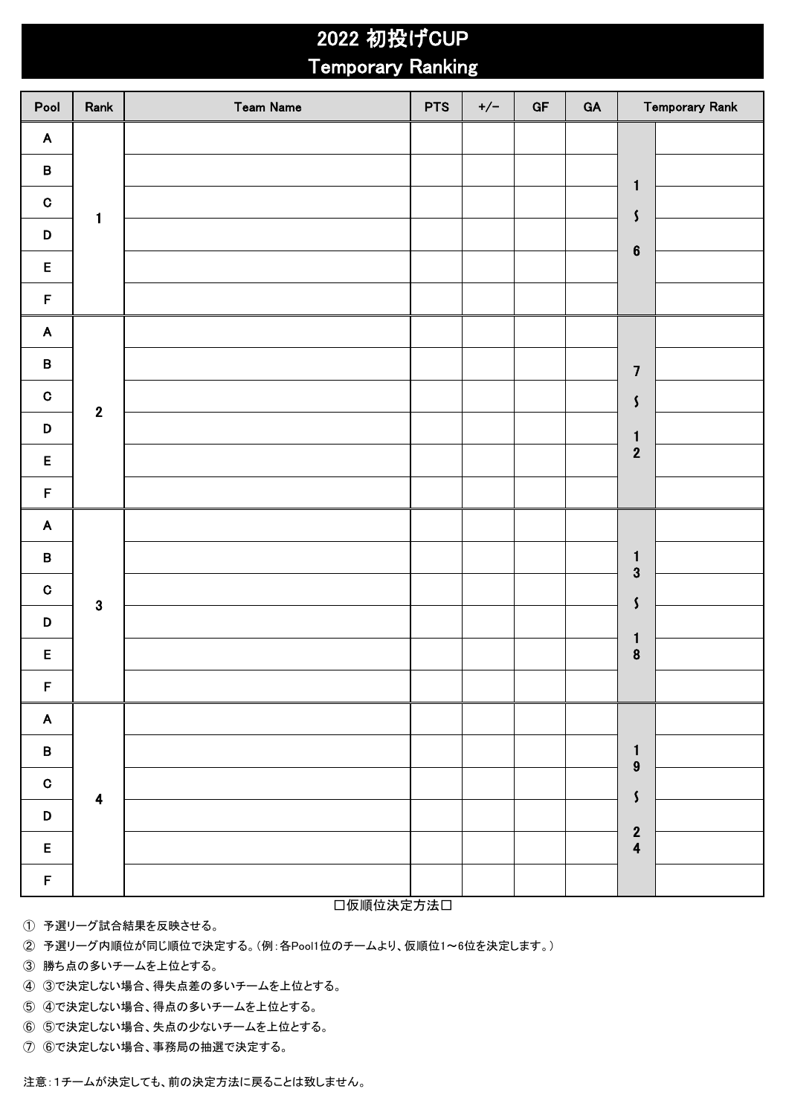## 2022 初投げCUP Temporary Ranking

| Pool                      | Rank                    | <b>Team Name</b> | <b>PTS</b> | $+/-$ | GF | GA |                                  | <b>Temporary Rank</b> |
|---------------------------|-------------------------|------------------|------------|-------|----|----|----------------------------------|-----------------------|
| $\boldsymbol{\mathsf{A}}$ |                         |                  |            |       |    |    |                                  |                       |
| $\pmb{\mathsf{B}}$        |                         |                  |            |       |    |    | $\mathbf{1}$                     |                       |
| $\mathbf C$               | 1                       |                  |            |       |    |    | $\mathsf{S}$                     |                       |
| $\mathsf D$               |                         |                  |            |       |    |    | $\bf 6$                          |                       |
| $\mathsf E$               |                         |                  |            |       |    |    |                                  |                       |
| $\mathsf F$               |                         |                  |            |       |    |    |                                  |                       |
| $\mathbf{A}$              |                         |                  |            |       |    |    |                                  |                       |
| $\pmb{\mathsf{B}}$        |                         |                  |            |       |    |    | $\overline{\mathbf{7}}$          |                       |
| $\mathbf C$               | $\mathbf{2}$            |                  |            |       |    |    | $\boldsymbol{\zeta}$             |                       |
| $\mathsf D$               |                         |                  |            |       |    |    | $\mathbf{1}$                     |                       |
| $\mathsf E$               |                         |                  |            |       |    |    | $\overline{2}$                   |                       |
| $\mathsf F$               |                         |                  |            |       |    |    |                                  |                       |
| $\mathsf{A}$              |                         |                  |            |       |    |    |                                  |                       |
| $\pmb{\mathsf{B}}$        |                         |                  |            |       |    |    | $\mathbf{1}$<br>$\mathbf{3}$     |                       |
| $\mathbf C$               | $\mathbf{3}$            |                  |            |       |    |    | $\boldsymbol{\zeta}$             |                       |
| D                         |                         |                  |            |       |    |    | $\mathbf{1}$                     |                       |
| E                         |                         |                  |            |       |    |    | $\bf{8}$                         |                       |
| $\mathsf F$               |                         |                  |            |       |    |    |                                  |                       |
| $\blacktriangle$          |                         |                  |            |       |    |    |                                  |                       |
| $\, {\bf B} \,$           |                         |                  |            |       |    |    | $\mathbf{1}$<br>$\boldsymbol{9}$ |                       |
| $\mathbf C$               | $\overline{\mathbf{4}}$ |                  |            |       |    |    | $\boldsymbol{\zeta}$             |                       |
| $\mathsf D$               |                         |                  |            |       |    |    |                                  |                       |
| $\mathsf E$               |                         |                  |            |       |    |    | $\frac{2}{4}$                    |                       |
| $\mathsf F$               |                         |                  |            |       |    |    |                                  |                       |

□仮順位決定方法□

① 予選リーグ試合結果を反映させる。

② 予選リーグ内順位が同じ順位で決定する。(例:各Pool1位のチームより、仮順位1~6位を決定します。)

③ 勝ち点の多いチームを上位とする。

④ ③で決定しない場合、得失点差の多いチームを上位とする。

⑤ ④で決定しない場合、得点の多いチームを上位とする。

⑥ ⑤で決定しない場合、失点の少ないチームを上位とする。

⑦ ⑥で決定しない場合、事務局の抽選で決定する。

注意:1チームが決定しても、前の決定方法に戻ることは致しません。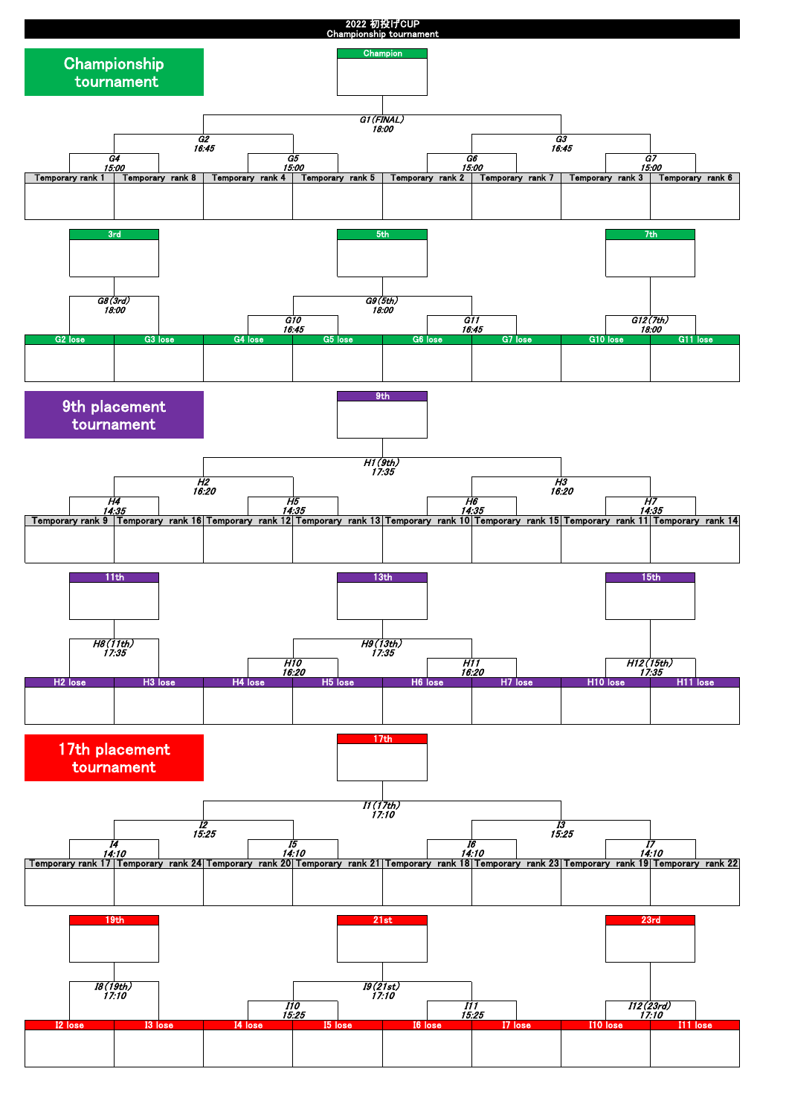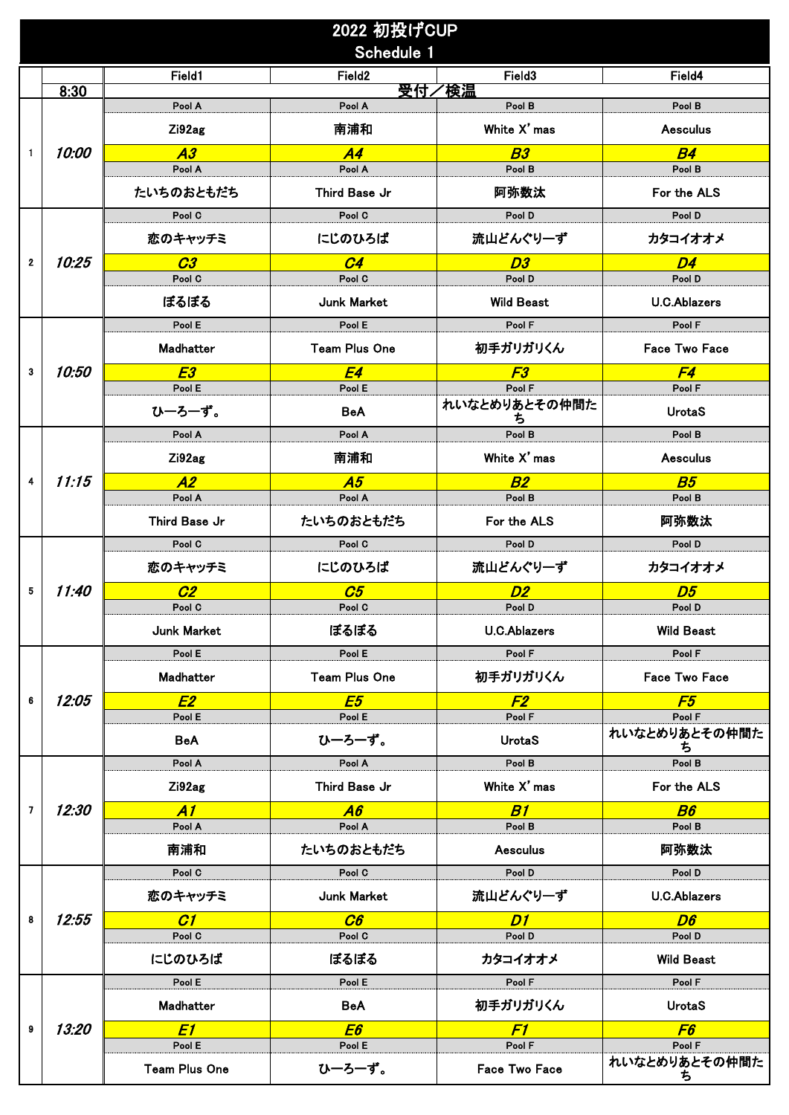|                         |                     |                         | 2022 初投げCUP<br>Schedule 1 |                       |                         |
|-------------------------|---------------------|-------------------------|---------------------------|-----------------------|-------------------------|
|                         |                     | Field1                  | Field <sub>2</sub>        | Field <sub>3</sub>    | Field4                  |
|                         | 8:30                | Pool A                  | Pool A                    | 受付/検温<br>Pool B       | Pool B                  |
|                         |                     | Zi92ag                  | 南浦和                       | White X' mas          | <b>Aesculus</b>         |
| 1                       | 10:00               | A3                      | A4                        | B <sub>3</sub>        | B4                      |
|                         |                     | Pool A                  | Pool A                    | Pool B                | Pool B                  |
|                         |                     | たいちのおともだち               | Third Base Jr             | 阿弥数汰                  | For the ALS             |
|                         |                     | Pool C                  | Pool C                    | Pool D                | Pool D                  |
|                         |                     | 恋のキャッチミ                 | にじのひろば                    | 流山どんぐり一ず              | カタコイオオメ                 |
| $\mathbf{2}$            | 10:25               | C3<br>Pool C            | C <sub>4</sub><br>Pool C  | D3<br>Pool D          | D4<br>Pool D            |
|                         |                     | ぼるぼる                    | Junk Market               | <b>Wild Beast</b>     | <b>U.C.Ablazers</b>     |
|                         |                     | Pool E                  | Pool E                    | Pool F                | Pool F                  |
|                         |                     | Madhatter               | <b>Team Plus One</b>      | 初手ガリガリくん              | <b>Face Two Face</b>    |
| 3                       | 10:50               | E3                      | <b>E4</b>                 | F3                    | F4                      |
|                         |                     | Pool E                  | Pool E                    | Pool F                | Pool F                  |
|                         |                     | ひーろーず。                  | <b>BeA</b>                | れいなとめりあとその仲間た<br>ち    | <b>UrotaS</b>           |
|                         |                     | Pool A                  | Pool A                    | Pool B                | Pool B                  |
|                         |                     | Zi92ag                  | 南浦和                       | White X' mas          | <b>Aesculus</b>         |
| 4                       | 11:15               | A2                      | A5                        | B2                    | B <sub>5</sub>          |
|                         |                     | Pool A                  | Pool A                    | Pool B                | Pool B                  |
|                         |                     | Third Base Jr<br>Pool C | たいちのおともだち<br>Pool C       | For the ALS<br>Pool D | 阿弥数汰<br>Pool D          |
|                         |                     |                         |                           |                       |                         |
|                         |                     | 恋のキャッチミ                 | にじのひろば                    | 流山どんぐり一ず              | カタコイオオメ                 |
| 5                       | <i><b>11:40</b></i> | C2<br>Pool C            | C5<br>Pool C              | <b>D2</b><br>Pool D   | D5<br>Pool D            |
|                         |                     | Junk Market             | ぽるぽる                      | <b>U.C.Ablazers</b>   | <b>Wild Beast</b>       |
|                         |                     | Pool E                  | Pool E                    | Pool F                | Pool F                  |
|                         |                     | Madhatter               | <b>Team Plus One</b>      | 初手ガリガリくん              | <b>Face Two Face</b>    |
| 6                       | 12:05               | E2                      | E5                        | F2                    | F5                      |
|                         |                     | Pool E                  | Pool E                    | Pool F                | Pool F                  |
|                         |                     | BeA                     | ひーろーず。                    | <b>UrotaS</b>         | れいなとめりあとその仲間た<br>ъ      |
|                         |                     | Pool A                  | Pool A                    | Pool B                | Pool B                  |
|                         |                     | Zi92ag                  | Third Base Jr             | White X' mas          | For the ALS             |
| $\overline{\mathbf{z}}$ | 12:30               | A1                      | A6                        | B1                    | B6                      |
|                         |                     | Pool A                  | Pool A                    | Pool B                | Pool B                  |
|                         |                     | 南浦和                     | たいちのおともだち                 | <b>Aesculus</b>       | 阿弥数汰                    |
|                         |                     | Pool C                  | Pool C                    | Pool D                | Pool D                  |
|                         |                     | 恋のキャッチミ                 | Junk Market               | 流山どんぐりーず              | <b>U.C.Ablazers</b>     |
| 8                       | 12:55               | C1                      | C6                        | DI                    | D6                      |
|                         |                     | Pool C                  | Pool C                    | Pool D                | Pool D                  |
|                         |                     | にじのひろば                  | ぼるぼる                      | カタコイオオメ               | <b>Wild Beast</b>       |
|                         |                     | Pool E                  | Pool E                    | Pool F                | Pool F                  |
|                         |                     | Madhatter               | <b>BeA</b>                | 初手ガリガリくん              | <b>UrotaS</b>           |
| 9                       | 13:20               | E1                      | E6                        | F1                    | F6                      |
|                         |                     | Pool E                  | Pool E                    | Pool F                | Pool F<br>れいなとめりあとその仲間た |
|                         |                     | <b>Team Plus One</b>    | ひーろーず。                    | Face Two Face         | ъ                       |